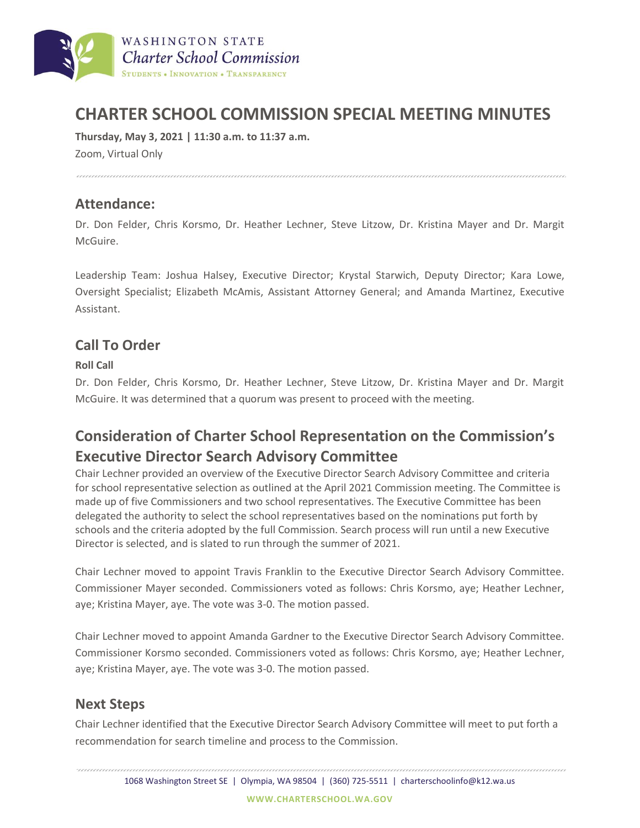

# **CHARTER SCHOOL COMMISSION SPECIAL MEETING MINUTES**

**Thursday, May 3, 2021 | 11:30 a.m. to 11:37 a.m.**

Zoom, Virtual Only

### **Attendance:**

Dr. Don Felder, Chris Korsmo, Dr. Heather Lechner, Steve Litzow, Dr. Kristina Mayer and Dr. Margit McGuire.

Leadership Team: Joshua Halsey, Executive Director; Krystal Starwich, Deputy Director; Kara Lowe, Oversight Specialist; Elizabeth McAmis, Assistant Attorney General; and Amanda Martinez, Executive Assistant.

### **Call To Order**

#### **Roll Call**

Dr. Don Felder, Chris Korsmo, Dr. Heather Lechner, Steve Litzow, Dr. Kristina Mayer and Dr. Margit McGuire. It was determined that a quorum was present to proceed with the meeting.

## **Consideration of Charter School Representation on the Commission's Executive Director Search Advisory Committee**

Chair Lechner provided an overview of the Executive Director Search Advisory Committee and criteria for school representative selection as outlined at the April 2021 Commission meeting. The Committee is made up of five Commissioners and two school representatives. The Executive Committee has been delegated the authority to select the school representatives based on the nominations put forth by schools and the criteria adopted by the full Commission. Search process will run until a new Executive Director is selected, and is slated to run through the summer of 2021.

Chair Lechner moved to appoint Travis Franklin to the Executive Director Search Advisory Committee. Commissioner Mayer seconded. Commissioners voted as follows: Chris Korsmo, aye; Heather Lechner, aye; Kristina Mayer, aye. The vote was 3-0. The motion passed.

Chair Lechner moved to appoint Amanda Gardner to the Executive Director Search Advisory Committee. Commissioner Korsmo seconded. Commissioners voted as follows: Chris Korsmo, aye; Heather Lechner, aye; Kristina Mayer, aye. The vote was 3-0. The motion passed.

### **Next Steps**

Chair Lechner identified that the Executive Director Search Advisory Committee will meet to put forth a recommendation for search timeline and process to the Commission.

1068 Washington Street SE | Olympia, WA 98504 | (360) 725-5511 | charterschoolinfo@k12.wa.us